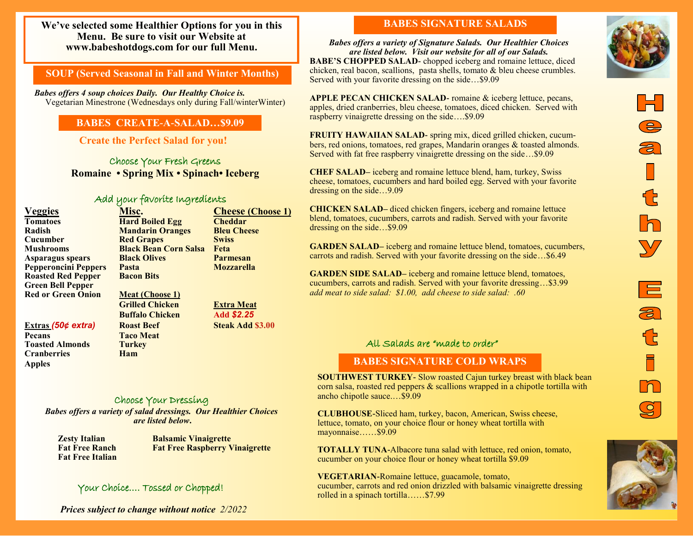**We've selected some Healthier Options for you in this Menu. Be sure to visit our Website at www.babeshotdogs.com for our full Menu.** 

# **SOUP (Served Seasonal in Fall and Winter Months)**

*Babes offers 4 soup choices Daily. Our Healthy Choice is.* Vegetarian Minestrone (Wednesdays only during Fall/winterWinter)

# **BABES CREATE-A-SALAD…\$9.09**

**Create the Perfect Salad for you!**

Choose Your Fresh Greens **Romaine • Spring Mix • Spinach• Iceberg** 

#### Add your favorite Ingredients

**Hard Boiled Egg** 

**Black Olives** 

**Racon Bits** 

| <b>Veggies</b>              |
|-----------------------------|
| <b>Tomatoes</b>             |
| Radish                      |
| Cucumber                    |
| <b>Mushrooms</b>            |
| <b>Asparagus spears</b>     |
| <b>Pepperoncini Peppers</b> |
| <b>Roasted Red Pepper</b>   |
| <b>Green Bell Pepper</b>    |
| <b>Red or Green Onion</b>   |
|                             |

#### **Extras (50¢ extra) Roast Beef Steak Add \$3.00**

**Pecans Taco Meat Toasted Almonds Turkey Cranberries Ham Apples**

**Meat (Choose 1) Grilled Chicken Extra Meat Buffalo Chicken Add** *\$2.25* 

### Choose Your Dressing

*Babes offers a variety of salad dressings. Our Healthier Choices are listed below***.**

**Fat Free Italian**

**Zesty Italian Balsamic Vinaigrette Fat Free Ranch Fat Free Raspberry Vinaigrette**

**Veggies Misc. Cheese (Choose 1)**

**Radish Mandarin Oranges Bleu Cheese Cucher Red Grapes Swiss Mushrooms Black Bean Corn Salsa Feta**

**Pepperoncini Peppers Pasta Mozzarella**

# Your Choice…. Tossed or Chopped!

*Prices subject to change without notice 2/2022*

# **BABES SIGNATURE SALADS**

*Babes offers a variety of Signature Salads. Our Healthier Choices are listed below. Visit our website for all of our Salads.* **BABE'S CHOPPED SALAD-** chopped iceberg and romaine lettuce, diced chicken, real bacon, scallions, pasta shells, tomato & bleu cheese crumbles. Served with your favorite dressing on the side…\$9.09

**APPLE PECAN CHICKEN SALAD-** romaine & iceberg lettuce, pecans, apples, dried cranberries, bleu cheese, tomatoes, diced chicken. Served with raspberry vinaigrette dressing on the side….\$9.09

**FRUITY HAWAIIAN SALAD-** spring mix, diced grilled chicken, cucumbers, red onions, tomatoes, red grapes, Mandarin oranges & toasted almonds. Served with fat free raspberry vinaigrette dressing on the side…\$9.09

**CHEF SALAD–** iceberg and romaine lettuce blend, ham, turkey, Swiss cheese, tomatoes, cucumbers and hard boiled egg. Served with your favorite dressing on the side…9.09

**CHICKEN SALAD–** diced chicken fingers, iceberg and romaine lettuce blend, tomatoes, cucumbers, carrots and radish. Served with your favorite dressing on the side…\$9.09

**GARDEN SALAD–** iceberg and romaine lettuce blend, tomatoes, cucumbers, carrots and radish. Served with your favorite dressing on the side…\$6.49

**GARDEN SIDE SALAD–** iceberg and romaine lettuce blend, tomatoes, cucumbers, carrots and radish. Served with your favorite dressing…\$3.99 *add meat to side salad: \$1.00, add cheese to side salad: .60*

#### All Salads are "made to order"

### **BABES SIGNATURE COLD WRAPS**

**SOUTHWEST TURKEY-** Slow roasted Cajun turkey breast with black bean corn salsa, roasted red peppers & scallions wrapped in a chipotle tortilla with ancho chipotle sauce.…\$9.09

**CLUBHOUSE-**Sliced ham, turkey, bacon, American, Swiss cheese, lettuce, tomato, on your choice flour or honey wheat tortilla with mayonnaise……\$9.09

**TOTALLY TUNA-**Albacore tuna salad with lettuce, red onion, tomato, cucumber on your choice flour or honey wheat tortilla \$9.09

**VEGETARIAN-**Romaine lettuce, guacamole, tomato, cucumber, carrots and red onion drizzled with balsamic vinaigrette dressing rolled in a spinach tortilla……\$7.99



巨

 $\overline{\boldsymbol{z}}$